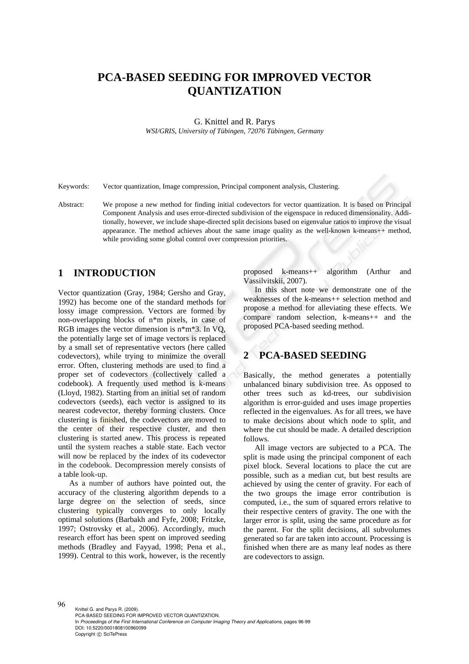# **PCA-BASED SEEDING FOR IMPROVED VECTOR QUANTIZATION**

G. Knittel and R. Parys

*WSI/GRIS, University of Tübingen, 72076 Tübingen, Germany* 

Keywords: Vector quantization, Image compression, Principal component analysis, Clustering.

Abstract: We propose a new method for finding initial codevectors for vector quantization. It is based on Principal Component Analysis and uses error-directed subdivision of the eigenspace in reduced dimensionality. Additionally, however, we include shape-directed split decisions based on eigenvalue ratios to improve the visual appearance. The method achieves about the same image quality as the well-known k-means++ method, while providing some global control over compression priorities.

### **1 INTRODUCTION**

Vector quantization (Gray, 1984; Gersho and Gray, 1992) has become one of the standard methods for lossy image compression. Vectors are formed by non-overlapping blocks of n\*m pixels, in case of RGB images the vector dimension is n\*m\*3. In VQ, the potentially large set of image vectors is replaced by a small set of representative vectors (here called codevectors), while trying to minimize the overall error. Often, clustering methods are used to find a proper set of codevectors (collectively called a codebook). A frequently used method is k-means (Lloyd, 1982). Starting from an initial set of random codevectors (seeds), each vector is assigned to its nearest codevector, thereby forming clusters. Once clustering is finished, the codevectors are moved to the center of their respective cluster, and then clustering is started anew. This process is repeated until the system reaches a stable state. Each vector will now be replaced by the index of its codevector in the codebook. Decompression merely consists of a table look-up.

As a number of authors have pointed out, the accuracy of the clustering algorithm depends to a large degree on the selection of seeds, since clustering typically converges to only locally optimal solutions (Barbakh and Fyfe, 2008; Fritzke, 1997; Ostrovsky et al., 2006). Accordingly, much research effort has been spent on improved seeding methods (Bradley and Fayyad, 1998; Pena et al., 1999). Central to this work, however, is the recently proposed k-means++ algorithm (Arthur and Vassilvitskii, 2007).

In this short note we demonstrate one of the weaknesses of the k-means++ selection method and propose a method for alleviating these effects. We compare random selection, k-means++ and the proposed PCA-based seeding method.

# **2 PCA-BASED SEEDING**

Basically, the method generates a potentially unbalanced binary subdivision tree. As opposed to other trees such as kd-trees, our subdivision algorithm is error-guided and uses image properties reflected in the eigenvalues. As for all trees, we have to make decisions about which node to split, and where the cut should be made. A detailed description follows.

All image vectors are subjected to a PCA. The split is made using the principal component of each pixel block. Several locations to place the cut are possible, such as a median cut, but best results are achieved by using the center of gravity. For each of the two groups the image error contribution is computed, i.e., the sum of squared errors relative to their respective centers of gravity. The one with the larger error is split, using the same procedure as for the parent. For the split decisions, all subvolumes generated so far are taken into account. Processing is finished when there are as many leaf nodes as there are codevectors to assign.

96 Knittel G. and Parys R. (2009). PCA-BASED SEEDING FOR IMPROVED VECTOR QUANTIZATION. In *Proceedings of the First International Conference on Computer Imaging Theory and Applications*, pages 96-99 DOI: 10.5220/0001808100960099 Copyright © SciTePress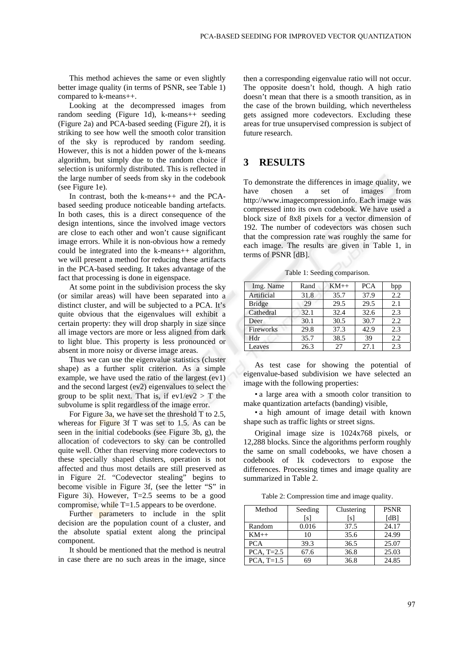This method achieves the same or even slightly better image quality (in terms of PSNR, see Table 1) compared to k-means++.

Looking at the decompressed images from random seeding (Figure 1d), k-means++ seeding (Figure 2a) and PCA-based seeding (Figure 2f), it is striking to see how well the smooth color transition of the sky is reproduced by random seeding. However, this is not a hidden power of the k-means algorithm, but simply due to the random choice if selection is uniformly distributed. This is reflected in the large number of seeds from sky in the codebook (see Figure 1e).

In contrast, both the k-means++ and the PCAbased seeding produce noticeable banding artefacts. In both cases, this is a direct consequence of the design intentions, since the involved image vectors are close to each other and won't cause significant image errors. While it is non-obvious how a remedy could be integrated into the k-means++ algorithm, we will present a method for reducing these artifacts in the PCA-based seeding. It takes advantage of the fact that processing is done in eigenspace.

At some point in the subdivision process the sky (or similar areas) will have been separated into a distinct cluster, and will be subjected to a PCA. It's quite obvious that the eigenvalues will exhibit a certain property: they will drop sharply in size since all image vectors are more or less aligned from dark to light blue. This property is less pronounced or absent in more noisy or diverse image areas.

Thus we can use the eigenvalue statistics (cluster shape) as a further split criterion. As a simple example, we have used the ratio of the largest (ev1) and the second largest (ev2) eigenvalues to select the group to be split next. That is, if  $ev1/ev2 > T$  the subvolume is split regardless of the image error.

For Figure 3a, we have set the threshold T to 2.5, whereas for **Figure** 3f T was set to 1.5. As can be seen in the initial codebooks (see Figure 3b, g), the allocation of codevectors to sky can be controlled quite well. Other than reserving more codevectors to these specially shaped clusters, operation is not affected and thus most details are still preserved as in Figure 2f. "Codevector stealing" begins to become visible in Figure 3f, (see the letter "S" in Figure 3i). However, T=2.5 seems to be a good compromise, while T=1.5 appears to be overdone.

Further parameters to include in the split decision are the population count of a cluster, and the absolute spatial extent along the principal component.

It should be mentioned that the method is neutral in case there are no such areas in the image, since

then a corresponding eigenvalue ratio will not occur. The opposite doesn't hold, though. A high ratio doesn't mean that there is a smooth transition, as in the case of the brown building, which nevertheless gets assigned more codevectors. Excluding these areas for true unsupervised compression is subject of future research.

# **3 RESULTS**

To demonstrate the differences in image quality, we have chosen a set of images from http://www.imagecompression.info. Each image was compressed into its own codebook. We have used a block size of 8x8 pixels for a vector dimension of 192. The number of codevectors was chosen such that the compression rate was roughly the same for each image. The results are given in Table 1, in terms of PSNR [dB].

Table 1: Seeding comparison.

| Img. Name     | Rand | $KM++$ | <b>PCA</b> | bpp |
|---------------|------|--------|------------|-----|
| Artificial    | 31.8 | 35.7   | 37.9       | 2.2 |
| <b>Bridge</b> | 29   | 29.5   | 29.5       | 2.1 |
| Cathedral     | 32.1 | 32.4   | 32.6       | 2.3 |
| Deer          | 30.1 | 30.5   | 30.7       | 2.2 |
| Fireworks     | 29.8 | 37.3   | 42.9       | 2.3 |
| Hdr           | 35.7 | 38.5   | 39         | 2.2 |
| Leaves        | 26.3 | 27     | 27.1       | 2.3 |

As test case for showing the potential of eigenvalue-based subdivision we have selected an image with the following properties:

• a large area with a smooth color transition to make quantization artefacts (banding) visible,

• a high amount of image detail with known shape such as traffic lights or street signs.

Original image size is 1024x768 pixels, or 12,288 blocks. Since the algorithms perform roughly the same on small codebooks, we have chosen a codebook of 1k codevectors to expose the differences. Processing times and image quality are summarized in Table 2.

Table 2: Compression time and image quality.

| Method       | Seeding      | Clustering | <b>PSNR</b> |
|--------------|--------------|------------|-------------|
|              | <sub>S</sub> | ls l       | [dB]        |
| Random       | 0.016        | 37.5       | 24.17       |
| $KM++$       | 10           | 35.6       | 24.99       |
| <b>PCA</b>   | 39.3         | 36.5       | 25.07       |
| PCA, $T=2.5$ | 67.6         | 36.8       | 25.03       |
| PCA, $T=1.5$ | 69           | 36.8       | 24.85       |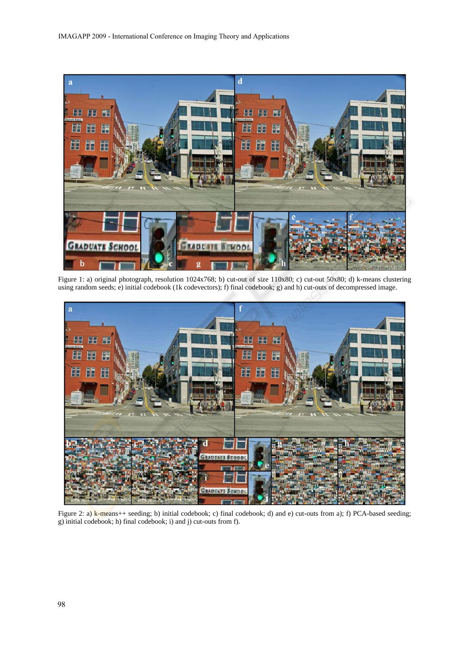

Figure 1: a) original photograph, resolution 1024x768; b) cut-out of size 110x80; c) cut-out 50x80; d) k-means clustering using random seeds; e) initial codebook (1k codevectors); f) final codebook; g) and h) cut-outs of decompressed image.



Figure 2: a) k-means++ seeding; b) initial codebook; c) final codebook; d) and e) cut-outs from a); f) PCA-based seeding; g) initial codebook; h) final codebook; i) and j) cut-outs from f).